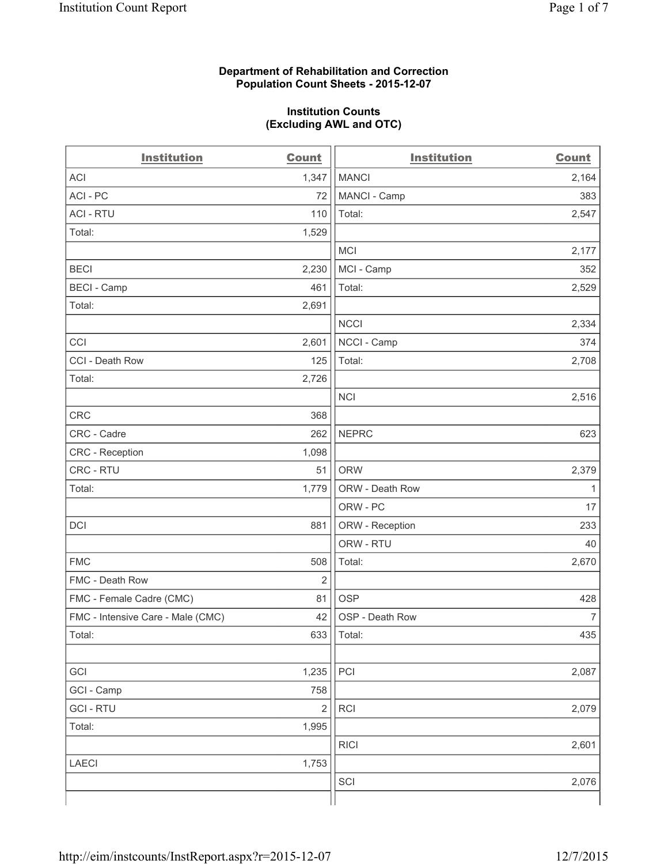### **Department of Rehabilitation and Correction Population Count Sheets - 2015-12-07**

### **Institution Counts (Excluding AWL and OTC)**

| <b>Institution</b>                | <b>Count</b>   | <b>Institution</b> | <b>Count</b>   |
|-----------------------------------|----------------|--------------------|----------------|
| <b>ACI</b>                        | 1,347          | <b>MANCI</b>       | 2,164          |
| ACI - PC                          | 72             | MANCI - Camp       | 383            |
| <b>ACI - RTU</b>                  | 110            | Total:             | 2,547          |
| Total:                            | 1,529          |                    |                |
|                                   |                | <b>MCI</b>         | 2,177          |
| <b>BECI</b>                       | 2,230          | MCI - Camp         | 352            |
| <b>BECI</b> - Camp                | 461            | Total:             | 2,529          |
| Total:                            | 2,691          |                    |                |
|                                   |                | <b>NCCI</b>        | 2,334          |
| CCI                               | 2,601          | NCCI - Camp        | 374            |
| CCI - Death Row                   | 125            | Total:             | 2,708          |
| Total:                            | 2,726          |                    |                |
|                                   |                | <b>NCI</b>         | 2,516          |
| <b>CRC</b>                        | 368            |                    |                |
| CRC - Cadre                       | 262            | <b>NEPRC</b>       | 623            |
| CRC - Reception                   | 1,098          |                    |                |
| CRC - RTU                         | 51             | <b>ORW</b>         | 2,379          |
| Total:                            | 1,779          | ORW - Death Row    | $\mathbf{1}$   |
|                                   |                | ORW - PC           | 17             |
| DCI                               | 881            | ORW - Reception    | 233            |
|                                   |                | ORW - RTU          | 40             |
| <b>FMC</b>                        | 508            | Total:             | 2,670          |
| FMC - Death Row                   | $\overline{2}$ |                    |                |
| FMC - Female Cadre (CMC)          | 81             | <b>OSP</b>         | 428            |
| FMC - Intensive Care - Male (CMC) | 42             | OSP - Death Row    | $\overline{7}$ |
| Total:                            | 633            | Total:             | 435            |
|                                   |                |                    |                |
| GCI                               | 1,235          | PCI                | 2,087          |
| GCI - Camp                        | 758            |                    |                |
| <b>GCI - RTU</b>                  | $\overline{c}$ | RCI                | 2,079          |
| Total:                            | 1,995          |                    |                |
|                                   |                | <b>RICI</b>        | 2,601          |
| <b>LAECI</b>                      | 1,753          |                    |                |
|                                   |                | SCI                | 2,076          |
|                                   |                |                    |                |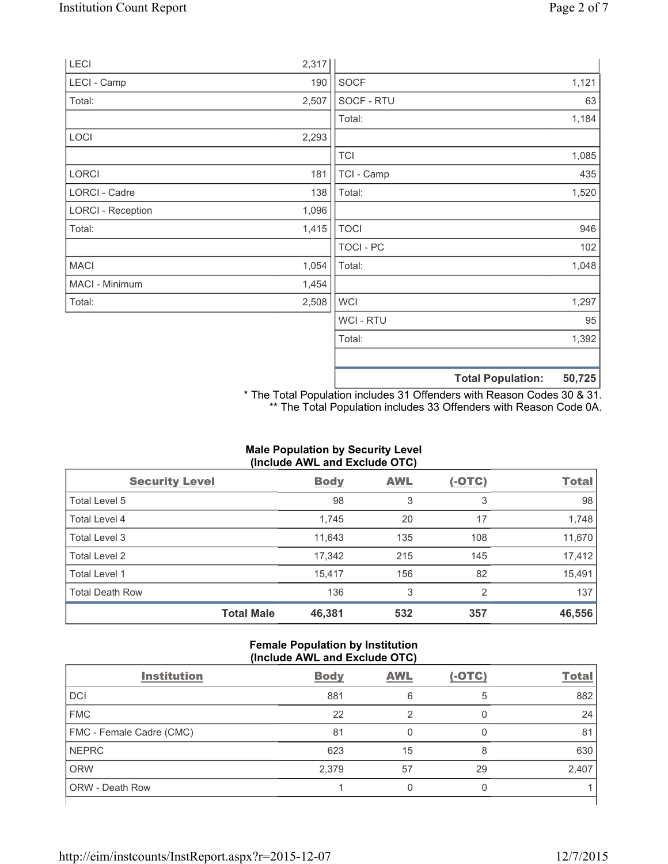|                          |       |                  | <b>Total Population:</b> | 50,725 |
|--------------------------|-------|------------------|--------------------------|--------|
|                          |       |                  |                          |        |
|                          |       | Total:           |                          | 1,392  |
|                          |       | <b>WCI-RTU</b>   |                          | 95     |
| Total:                   | 2,508 | <b>WCI</b>       |                          | 1,297  |
| MACI - Minimum           | 1,454 |                  |                          |        |
| <b>MACI</b>              | 1,054 | Total:           |                          | 1,048  |
|                          |       | <b>TOCI - PC</b> |                          | 102    |
| Total:                   | 1,415 | <b>TOCI</b>      |                          | 946    |
| <b>LORCI - Reception</b> | 1,096 |                  |                          |        |
| LORCI - Cadre            | 138   | Total:           |                          | 1,520  |
| LORCI                    | 181   | TCI - Camp       |                          | 435    |
|                          |       | <b>TCI</b>       |                          | 1,085  |
| LOCI                     | 2,293 |                  |                          |        |
|                          |       | Total:           |                          | 1,184  |
| Total:                   | 2,507 | SOCF - RTU       |                          | 63     |
| LECI - Camp              | 190   | <b>SOCF</b>      |                          | 1,121  |
| LECI                     | 2,317 |                  |                          |        |

\* The Total Population includes 31 Offenders with Reason Codes 30 & 31. \*\* The Total Population includes 33 Offenders with Reason Code 0A.

# **Male Population by Security Level (Include AWL and Exclude OTC)**

| <b>Security Level</b>  |                   | <b>Body</b> | <b>AWL</b> | $(-OTC)$ | <b>Total</b> |
|------------------------|-------------------|-------------|------------|----------|--------------|
| Total Level 5          |                   | 98          | 3          | 3        | 98           |
| <b>Total Level 4</b>   |                   | 1,745       | 20         | 17       | 1,748        |
| Total Level 3          |                   | 11,643      | 135        | 108      | 11,670       |
| Total Level 2          |                   | 17,342      | 215        | 145      | 17,412       |
| <b>Total Level 1</b>   |                   | 15,417      | 156        | 82       | 15,491       |
| <b>Total Death Row</b> |                   | 136         | 3          | 2        | 137          |
|                        | <b>Total Male</b> | 46,381      | 532        | 357      | 46,556       |

### **Female Population by Institution (Include AWL and Exclude OTC)**

| <b>Institution</b>       | <b>Body</b> | <b>AWL</b> | $(-OTC)$ | <b>Total</b> |
|--------------------------|-------------|------------|----------|--------------|
| <b>DCI</b>               | 881         | 6          | 5        | 882          |
| <b>FMC</b>               | 22          | っ          |          | 24           |
| FMC - Female Cadre (CMC) | 81          | 0          |          | 81           |
| <b>NEPRC</b>             | 623         | 15         | 8        | 630          |
| <b>ORW</b>               | 2,379       | 57         | 29       | 2,407        |
| <b>ORW - Death Row</b>   |             |            |          |              |
|                          |             |            |          |              |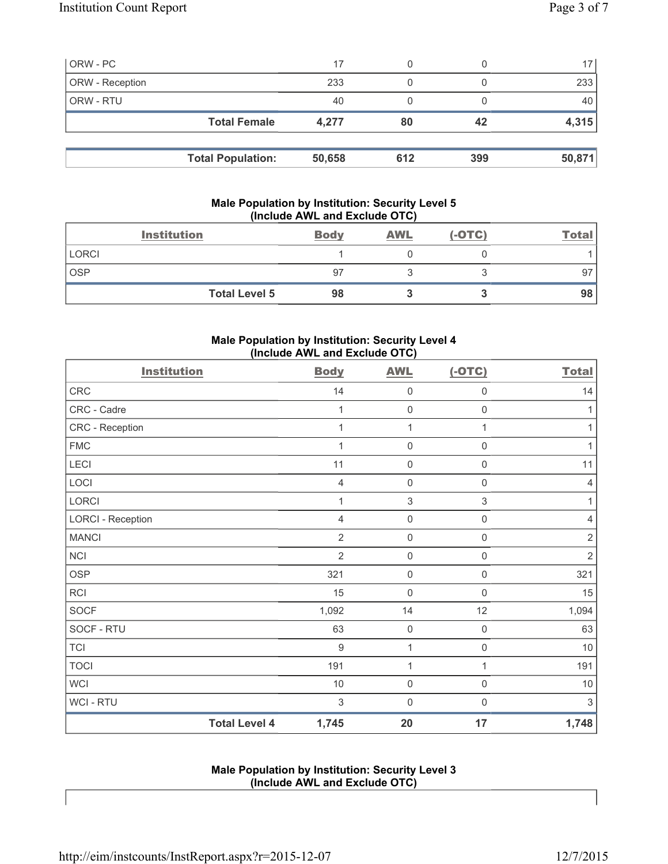| ORW - PC        |                          | 17     |     |     | 17 <sup>1</sup> |
|-----------------|--------------------------|--------|-----|-----|-----------------|
| ORW - Reception |                          | 233    |     |     | 233             |
| ORW - RTU       |                          | 40     |     |     | 40              |
|                 | <b>Total Female</b>      | 4,277  | 80  | 42  | 4,315           |
|                 |                          |        |     |     |                 |
|                 | <b>Total Population:</b> | 50,658 | 612 | 399 | 50,871          |

## **Male Population by Institution: Security Level 5 (Include AWL and Exclude OTC)**

| <b>Institution</b>   | <b>Body</b> | <b>AWL</b> | $(-OTC)$ | <u>Total</u> |
|----------------------|-------------|------------|----------|--------------|
| <b>LORCI</b>         |             |            |          |              |
| <b>OSP</b>           | 97          |            |          | 97           |
| <b>Total Level 5</b> | 98          |            |          | 98           |

### **Male Population by Institution: Security Level 4 (Include AWL and Exclude OTC)**

| <b>Institution</b>       |                      | <b>Body</b>      | <b>AWL</b>          | $(-OTC)$            | <b>Total</b>   |
|--------------------------|----------------------|------------------|---------------------|---------------------|----------------|
| CRC                      |                      | 14               | $\mathsf{O}\xspace$ | $\mathsf{O}\xspace$ | 14             |
| CRC - Cadre              |                      | 1                | $\mathsf{O}\xspace$ | $\mathsf{O}\xspace$ | 1              |
| CRC - Reception          |                      | 1                | 1                   | 1                   | $\mathbf{1}$   |
| <b>FMC</b>               |                      |                  | $\mathsf{O}\xspace$ | 0                   | 1              |
| LECI                     |                      | 11               | $\mathsf{O}\xspace$ | $\mathsf{O}\xspace$ | 11             |
| LOCI                     |                      | 4                | $\mathsf{O}\xspace$ | $\boldsymbol{0}$    | $\overline{4}$ |
| LORCI                    |                      | 1                | $\sqrt{3}$          | $\,$ 3 $\,$         | 1              |
| <b>LORCI - Reception</b> |                      | $\overline{4}$   | $\mathsf{O}\xspace$ | $\mathsf{O}\xspace$ | $\overline{4}$ |
| <b>MANCI</b>             |                      | 2                | $\mathsf{O}\xspace$ | $\boldsymbol{0}$    | $\sqrt{2}$     |
| <b>NCI</b>               |                      | $\overline{2}$   | $\mathsf{O}\xspace$ | $\boldsymbol{0}$    | $\overline{2}$ |
| <b>OSP</b>               |                      | 321              | $\mathsf{O}\xspace$ | $\mathsf{O}\xspace$ | 321            |
| <b>RCI</b>               |                      | 15               | $\mathsf{O}\xspace$ | $\mathbf 0$         | 15             |
| <b>SOCF</b>              |                      | 1,092            | 14                  | 12                  | 1,094          |
| SOCF - RTU               |                      | 63               | $\mathbf 0$         | $\mathsf{O}\xspace$ | 63             |
| <b>TCI</b>               |                      | $\boldsymbol{9}$ | 1                   | 0                   | $10$           |
| <b>TOCI</b>              |                      | 191              | 1                   | 1                   | 191            |
| <b>WCI</b>               |                      | $10$             | $\mathsf{O}\xspace$ | $\mathsf 0$         | $10$           |
| WCI - RTU                |                      | 3                | $\mathsf 0$         | $\mathbf 0$         | 3              |
|                          | <b>Total Level 4</b> | 1,745            | 20                  | 17                  | 1,748          |

**Male Population by Institution: Security Level 3 (Include AWL and Exclude OTC)**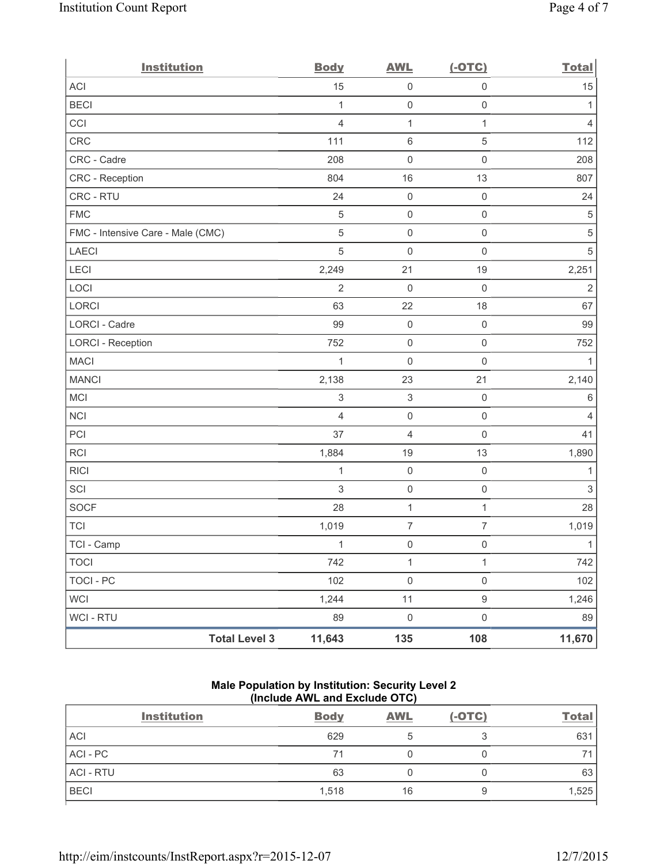| <b>Institution</b>                | <b>Body</b>               | <b>AWL</b>                | $(-OTC)$            | <b>Total</b>   |
|-----------------------------------|---------------------------|---------------------------|---------------------|----------------|
| ACI                               | 15                        | $\mathsf 0$               | $\mathsf{O}\xspace$ | 15             |
| <b>BECI</b>                       | $\mathbf{1}$              | $\mathsf{O}\xspace$       | $\mathsf{O}\xspace$ | 1              |
| CCI                               | $\overline{4}$            | $\mathbf{1}$              | $\mathbf{1}$        | $\overline{4}$ |
| <b>CRC</b>                        | 111                       | $\,6\,$                   | $\,$ 5 $\,$         | 112            |
| CRC - Cadre                       | 208                       | $\mathsf{O}\xspace$       | $\mathsf{O}\xspace$ | 208            |
| CRC - Reception                   | 804                       | 16                        | 13                  | 807            |
| CRC - RTU                         | 24                        | $\pmb{0}$                 | $\mathsf 0$         | 24             |
| <b>FMC</b>                        | $\sqrt{5}$                | $\mathsf{O}\xspace$       | $\mathsf{O}\xspace$ | $\sqrt{5}$     |
| FMC - Intensive Care - Male (CMC) | $\sqrt{5}$                | $\mathsf 0$               | $\mathsf 0$         | $\,$ 5 $\,$    |
| <b>LAECI</b>                      | 5                         | 0                         | $\mathsf{O}\xspace$ | $\sqrt{5}$     |
| LECI                              | 2,249                     | 21                        | 19                  | 2,251          |
| LOCI                              | $\overline{2}$            | 0                         | $\mathbf 0$         | $\overline{2}$ |
| LORCI                             | 63                        | 22                        | 18                  | 67             |
| <b>LORCI - Cadre</b>              | 99                        | $\mathsf{O}\xspace$       | $\mathsf 0$         | 99             |
| <b>LORCI - Reception</b>          | 752                       | $\mathbf 0$               | $\mathsf 0$         | 752            |
| <b>MACI</b>                       | $\mathbf{1}$              | $\mathsf{O}\xspace$       | $\mathsf{O}\xspace$ | 1              |
| <b>MANCI</b>                      | 2,138                     | 23                        | 21                  | 2,140          |
| MCI                               | $\ensuremath{\mathsf{3}}$ | $\ensuremath{\mathsf{3}}$ | $\mathsf 0$         | $\,6\,$        |
| <b>NCI</b>                        | $\overline{4}$            | $\mathsf{O}\xspace$       | $\mathsf 0$         | $\overline{4}$ |
| PCI                               | 37                        | 4                         | $\mathsf{O}\xspace$ | 41             |
| <b>RCI</b>                        | 1,884                     | 19                        | 13                  | 1,890          |
| <b>RICI</b>                       | 1                         | $\mathsf{O}\xspace$       | $\mathsf 0$         | 1              |
| SCI                               | $\sqrt{3}$                | $\mathsf{O}\xspace$       | $\mathsf 0$         | $\sqrt{3}$     |
| SOCF                              | 28                        | $\mathbf{1}$              | $\mathbf{1}$        | 28             |
| <b>TCI</b>                        | 1,019                     | $\overline{7}$            | $\overline{7}$      | 1,019          |
| TCI - Camp                        | $\mathbf{1}$              | $\mathbf 0$               | $\mathsf{O}$        | $\mathbf{1}$   |
| <b>TOCI</b>                       | 742                       | $\mathbf{1}$              | $\mathbf{1}$        | 742            |
| <b>TOCI - PC</b>                  | 102                       | $\mathsf 0$               | $\mathsf{O}\xspace$ | 102            |
| <b>WCI</b>                        | 1,244                     | 11                        | $\boldsymbol{9}$    | 1,246          |
| WCI - RTU                         | 89                        | $\mathsf{O}\xspace$       | $\mathsf{O}\xspace$ | 89             |
| <b>Total Level 3</b>              | 11,643                    | 135                       | 108                 | 11,670         |

# **Male Population by Institution: Security Level 2 (Include AWL and Exclude OTC)**

| <b>Institution</b> | <b>Body</b> | <b>AWL</b> | $(-OTC)$ | <b>Total</b>             |
|--------------------|-------------|------------|----------|--------------------------|
|                    | 629         | b          |          | 631                      |
|                    | 71          |            |          | $\overline{\phantom{a}}$ |
|                    | 63          |            |          | 63                       |
|                    | 1,518       | 16         | У        | 1,525                    |
|                    |             |            |          |                          |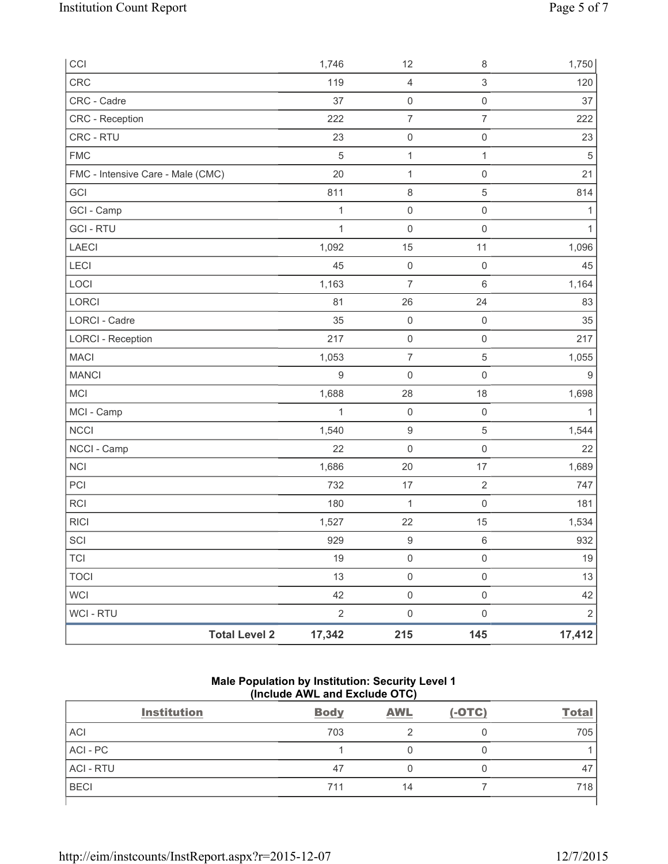| CCI                               |                      | 1,746          | 12                  | $\,8\,$             | 1,750            |
|-----------------------------------|----------------------|----------------|---------------------|---------------------|------------------|
| CRC                               |                      | 119            | $\overline{4}$      | $\,$ 3 $\,$         | 120              |
| CRC - Cadre                       |                      | 37             | $\mathsf{O}\xspace$ | $\mathsf{O}\xspace$ | 37               |
| CRC - Reception                   |                      | 222            | $\overline{7}$      | $\overline{7}$      | 222              |
| CRC - RTU                         |                      | 23             | $\mathsf{O}\xspace$ | $\mathsf{O}\xspace$ | 23               |
| <b>FMC</b>                        |                      | 5              | $\mathbf 1$         | 1                   | $\sqrt{5}$       |
| FMC - Intensive Care - Male (CMC) |                      | 20             | $\mathbf 1$         | $\mathsf{O}\xspace$ | 21               |
| GCI                               |                      | 811            | $\,8\,$             | $\,$ 5 $\,$         | 814              |
| GCI - Camp                        |                      | $\mathbf 1$    | $\mathbf 0$         | $\mathsf 0$         | 1                |
| <b>GCI-RTU</b>                    |                      | $\mathbf{1}$   | $\mathsf{O}\xspace$ | $\mathsf{O}\xspace$ | 1                |
| LAECI                             |                      | 1,092          | 15                  | 11                  | 1,096            |
| LECI                              |                      | 45             | $\mathbf 0$         | $\mathsf{O}\xspace$ | 45               |
| LOCI                              |                      | 1,163          | $\overline{7}$      | $\,6\,$             | 1,164            |
| LORCI                             |                      | 81             | 26                  | 24                  | 83               |
| <b>LORCI - Cadre</b>              |                      | 35             | $\mathsf{O}\xspace$ | $\mathsf{O}\xspace$ | 35               |
| <b>LORCI - Reception</b>          |                      | 217            | $\mathsf{O}\xspace$ | $\mathsf{O}\xspace$ | 217              |
| <b>MACI</b>                       |                      | 1,053          | $\overline{7}$      | $\sqrt{5}$          | 1,055            |
| <b>MANCI</b>                      |                      | $\mathsf g$    | $\mathsf{O}\xspace$ | $\mathsf{O}\xspace$ | $\boldsymbol{9}$ |
| MCI                               |                      | 1,688          | 28                  | 18                  | 1,698            |
| MCI - Camp                        |                      | $\mathbf{1}$   | $\mathsf{O}\xspace$ | $\mathsf{O}\xspace$ | 1                |
| <b>NCCI</b>                       |                      | 1,540          | $\hbox{9}$          | $\sqrt{5}$          | 1,544            |
| NCCI - Camp                       |                      | 22             | $\mathbf 0$         | $\mathsf{O}\xspace$ | 22               |
| <b>NCI</b>                        |                      | 1,686          | 20                  | 17                  | 1,689            |
| PCI                               |                      | 732            | 17                  | $\sqrt{2}$          | 747              |
| <b>RCI</b>                        |                      | 180            | 1                   | $\mathsf{O}\xspace$ | 181              |
| <b>RICI</b>                       |                      | 1,527          | 22                  | 15                  | 1,534            |
| SCI                               |                      | 929            | $\hbox{9}$          | $\,6\,$             | 932              |
| <b>TCI</b>                        |                      | $19$           | $\mathsf{O}\xspace$ | $\mathsf{O}\xspace$ | $19$             |
| <b>TOCI</b>                       |                      | 13             | $\mathsf{O}\xspace$ | $\mathsf{O}\xspace$ | 13               |
| <b>WCI</b>                        |                      | 42             | $\mathsf{O}\xspace$ | $\mathsf{O}\xspace$ | 42               |
| WCI - RTU                         |                      | $\overline{2}$ | $\mathsf{O}\xspace$ | $\mathsf{O}\xspace$ | $\sqrt{2}$       |
|                                   | <b>Total Level 2</b> | 17,342         | 215                 | 145                 | 17,412           |

# **Male Population by Institution: Security Level 1 (Include AWL and Exclude OTC)**

| <b>Institution</b> | <b>Body</b> | <b>AWL</b> | $(-OTC)$ | <b>Total</b> |
|--------------------|-------------|------------|----------|--------------|
| <b>ACI</b>         | 703         |            |          | 705          |
| ACI - PC           |             |            |          |              |
| <b>ACI - RTU</b>   | 47          |            |          | 47           |
| <b>BECI</b>        | 711         | 14         |          | 718          |
|                    |             |            |          |              |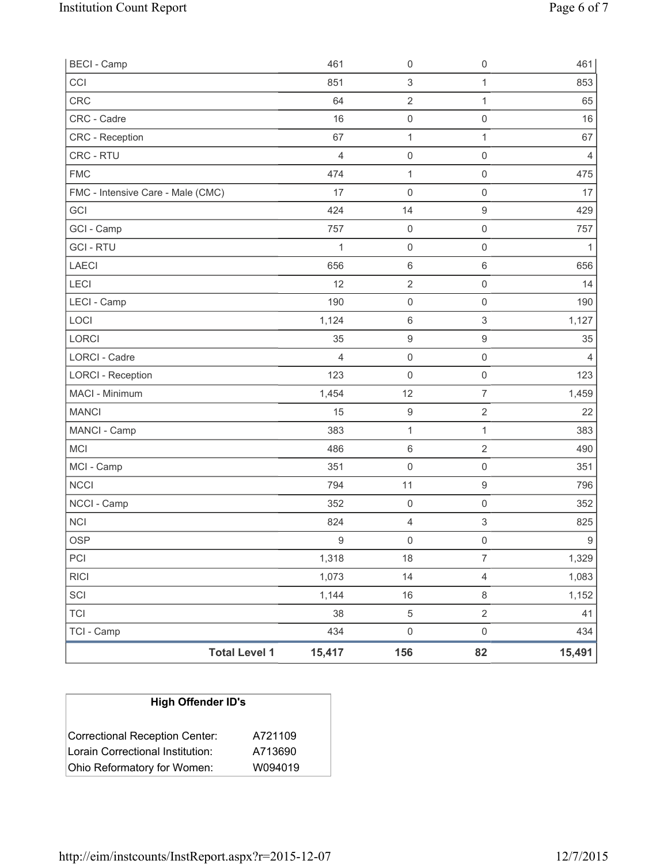| <b>BECI - Camp</b>                |                      | 461            | 0                   | $\mathsf{O}\xspace$ | 461              |
|-----------------------------------|----------------------|----------------|---------------------|---------------------|------------------|
| CCI                               |                      | 851            | 3                   | 1                   | 853              |
| <b>CRC</b>                        |                      | 64             | $\mathbf 2$         | 1                   | 65               |
| CRC - Cadre                       |                      | 16             | $\mathsf{O}\xspace$ | 0                   | 16               |
| <b>CRC</b> - Reception            |                      | 67             | $\mathbf 1$         | $\mathbf{1}$        | 67               |
| CRC - RTU                         |                      | $\overline{4}$ | $\mathsf{O}\xspace$ | $\mathsf{O}\xspace$ | $\overline{4}$   |
| <b>FMC</b>                        |                      | 474            | $\mathbf{1}$        | $\mathsf{O}\xspace$ | 475              |
| FMC - Intensive Care - Male (CMC) |                      | 17             | 0                   | $\mathsf{O}\xspace$ | 17               |
| GCI                               |                      | 424            | 14                  | $\hbox{9}$          | 429              |
| GCI - Camp                        |                      | 757            | $\mathsf 0$         | $\mathsf{O}\xspace$ | 757              |
| <b>GCI-RTU</b>                    |                      | 1              | $\mathsf{O}\xspace$ | $\mathsf{O}\xspace$ | 1                |
| LAECI                             |                      | 656            | $\,6\,$             | $\,6\,$             | 656              |
| LECI                              |                      | 12             | $\mathbf 2$         | $\mathsf{O}\xspace$ | 14               |
| LECI - Camp                       |                      | 190            | $\mathsf{O}\xspace$ | $\mathsf{O}\xspace$ | 190              |
| LOCI                              |                      | 1,124          | $\,6$               | $\mathfrak{S}$      | 1,127            |
| LORCI                             |                      | 35             | $\hbox{9}$          | $\hbox{9}$          | 35               |
| <b>LORCI - Cadre</b>              |                      | $\overline{4}$ | $\mathsf{O}\xspace$ | $\mathsf{O}\xspace$ | $\overline{4}$   |
| <b>LORCI - Reception</b>          |                      | 123            | $\mathsf{O}\xspace$ | $\mathsf{O}\xspace$ | 123              |
| MACI - Minimum                    |                      | 1,454          | 12                  | $\overline{7}$      | 1,459            |
| <b>MANCI</b>                      |                      | 15             | $\boldsymbol{9}$    | $\overline{2}$      | 22               |
| MANCI - Camp                      |                      | 383            | $\mathbf 1$         | 1                   | 383              |
| MCI                               |                      | 486            | $\,6\,$             | $\overline{2}$      | 490              |
| MCI - Camp                        |                      | 351            | $\mathsf{O}\xspace$ | $\mathsf{O}\xspace$ | 351              |
| <b>NCCI</b>                       |                      | 794            | 11                  | $\hbox{9}$          | 796              |
| NCCI - Camp                       |                      | 352            | $\mathsf{O}\xspace$ | $\mathsf 0$         | 352              |
| <b>NCI</b>                        |                      | 824            | 4                   | 3                   | 825              |
| <b>OSP</b>                        |                      | $\mathsf g$    | $\mathsf{O}\xspace$ | $\mathsf{O}\xspace$ | $\boldsymbol{9}$ |
| PCI                               |                      | 1,318          | 18                  | $\overline{7}$      | 1,329            |
| <b>RICI</b>                       |                      | 1,073          | 14                  | $\overline{4}$      | 1,083            |
| SCI                               |                      | 1,144          | $16$                | 8                   | 1,152            |
| <b>TCI</b>                        |                      | 38             | 5                   | $\overline{2}$      | 41               |
| TCI - Camp                        |                      | 434            | $\mathsf{O}\xspace$ | $\mathsf{O}\xspace$ | 434              |
|                                   | <b>Total Level 1</b> | 15,417         | 156                 | 82                  | 15,491           |

| <b>High Offender ID's</b>        |         |
|----------------------------------|---------|
| Correctional Reception Center:   | A721109 |
| Lorain Correctional Institution: | A713690 |
| Ohio Reformatory for Women:      | W094019 |